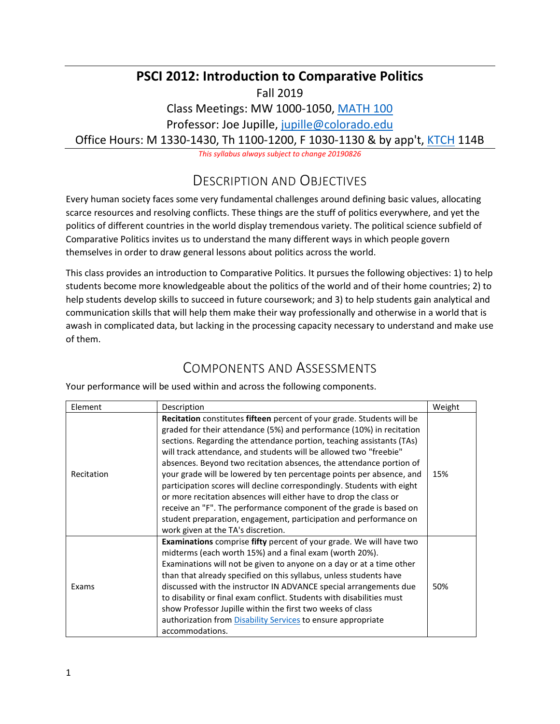### **PSCI 2012: Introduction to Comparative Politics**

Fall 2019

Class Meetings: MW 1000-1050, [MATH 100](https://www.colorado.edu/map/?id=336#!m/193928)

Professor: Joe Jupille, [jupille@colorado.edu](mailto:jupille@colorado.edu)

Office Hours: M 1330-1430, Th 1100-1200, F 1030-1130 & by app't, [KTCH](https://www.colorado.edu/map/?id=336#!m/193913) 114B

*This syllabus always subject to change 20190826*

## DESCRIPTION AND OBJECTIVES

Every human society faces some very fundamental challenges around defining basic values, allocating scarce resources and resolving conflicts. These things are the stuff of politics everywhere, and yet the politics of different countries in the world display tremendous variety. The political science subfield of Comparative Politics invites us to understand the many different ways in which people govern themselves in order to draw general lessons about politics across the world.

This class provides an introduction to Comparative Politics. It pursues the following objectives: 1) to help students become more knowledgeable about the politics of the world and of their home countries; 2) to help students develop skills to succeed in future coursework; and 3) to help students gain analytical and communication skills that will help them make their way professionally and otherwise in a world that is awash in complicated data, but lacking in the processing capacity necessary to understand and make use of them.

### COMPONENTS AND ASSESSMENTS

Your performance will be used within and across the following components.

| Element    | Description                                                                                                                                                                                                                                                                                                                                                                                                                                                                                                                                                                                                                                                                                                                                                                 | Weight |
|------------|-----------------------------------------------------------------------------------------------------------------------------------------------------------------------------------------------------------------------------------------------------------------------------------------------------------------------------------------------------------------------------------------------------------------------------------------------------------------------------------------------------------------------------------------------------------------------------------------------------------------------------------------------------------------------------------------------------------------------------------------------------------------------------|--------|
| Recitation | Recitation constitutes fifteen percent of your grade. Students will be<br>graded for their attendance (5%) and performance (10%) in recitation<br>sections. Regarding the attendance portion, teaching assistants (TAs)<br>will track attendance, and students will be allowed two "freebie"<br>absences. Beyond two recitation absences, the attendance portion of<br>your grade will be lowered by ten percentage points per absence, and<br>participation scores will decline correspondingly. Students with eight<br>or more recitation absences will either have to drop the class or<br>receive an "F". The performance component of the grade is based on<br>student preparation, engagement, participation and performance on<br>work given at the TA's discretion. | 15%    |
| Exams      | <b>Examinations</b> comprise fifty percent of your grade. We will have two<br>midterms (each worth 15%) and a final exam (worth 20%).<br>Examinations will not be given to anyone on a day or at a time other<br>than that already specified on this syllabus, unless students have<br>discussed with the instructor IN ADVANCE special arrangements due<br>to disability or final exam conflict. Students with disabilities must<br>show Professor Jupille within the first two weeks of class<br>authorization from <b>Disability Services</b> to ensure appropriate<br>accommodations.                                                                                                                                                                                   | 50%    |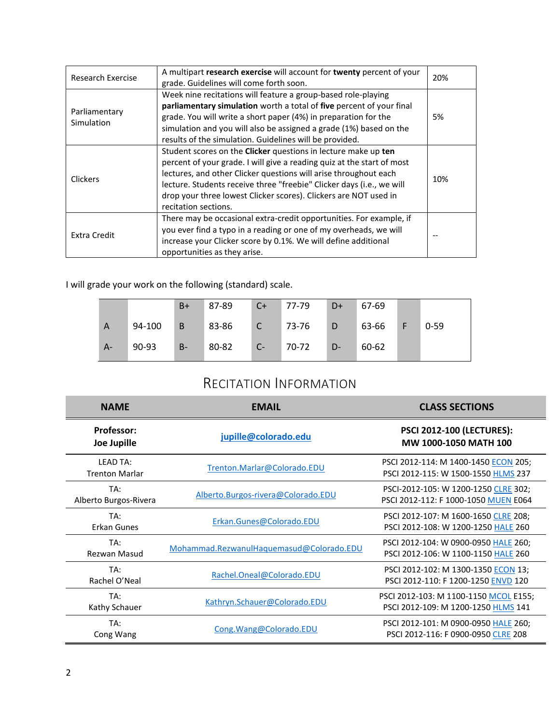| Research Exercise           | A multipart research exercise will account for twenty percent of your<br>grade. Guidelines will come forth soon.                                                                                                                                                                                                                                                                  | 20% |
|-----------------------------|-----------------------------------------------------------------------------------------------------------------------------------------------------------------------------------------------------------------------------------------------------------------------------------------------------------------------------------------------------------------------------------|-----|
| Parliamentary<br>Simulation | Week nine recitations will feature a group-based role-playing<br>parliamentary simulation worth a total of five percent of your final<br>grade. You will write a short paper (4%) in preparation for the<br>simulation and you will also be assigned a grade (1%) based on the<br>results of the simulation. Guidelines will be provided.                                         | 5%  |
| <b>Clickers</b>             | Student scores on the Clicker questions in lecture make up ten<br>percent of your grade. I will give a reading quiz at the start of most<br>lectures, and other Clicker questions will arise throughout each<br>lecture. Students receive three "freebie" Clicker days (i.e., we will<br>drop your three lowest Clicker scores). Clickers are NOT used in<br>recitation sections. | 10% |
| Extra Credit                | There may be occasional extra-credit opportunities. For example, if<br>you ever find a typo in a reading or one of my overheads, we will<br>increase your Clicker score by 0.1%. We will define additional<br>opportunities as they arise.                                                                                                                                        |     |

I will grade your work on the following (standard) scale.

|       |        | $B+$ | 87-89 | $C+$ | 77-79 | $D+$ | 67-69 |   |          |
|-------|--------|------|-------|------|-------|------|-------|---|----------|
| A     | 94-100 | B    | 83-86 |      | 73-76 | D    | 63-66 | E | $0 - 59$ |
| $A -$ | 90-93  | $B-$ | 80-82 | $C-$ | 70-72 | $D-$ | 60-62 |   |          |

# RECITATION INFORMATION

| <b>NAME</b>                              | <b>EMAIL</b>                             | <b>CLASS SECTIONS</b>                                                        |
|------------------------------------------|------------------------------------------|------------------------------------------------------------------------------|
| <b>Professor:</b><br>Joe Jupille         | jupille@colorado.edu                     | <b>PSCI 2012-100 (LECTURES):</b><br>MW 1000-1050 MATH 100                    |
| <b>LEAD TA:</b><br><b>Trenton Marlar</b> | Trenton.Marlar@Colorado.EDU              | PSCI 2012-114: M 1400-1450 ECON 205;<br>PSCI 2012-115: W 1500-1550 HLMS 237  |
| TA:<br>Alberto Burgos-Rivera             | Alberto.Burgos-rivera@Colorado.EDU       | PSCI-2012-105: W 1200-1250 CLRE 302;<br>PSCI 2012-112: F 1000-1050 MUEN E064 |
| TA:<br>Erkan Gunes                       | Erkan.Gunes@Colorado.EDU                 | PSCI 2012-107: M 1600-1650 CLRE 208;<br>PSCI 2012-108: W 1200-1250 HALE 260  |
| TA:<br>Rezwan Masud                      | Mohammad.RezwanulHaquemasud@Colorado.EDU | PSCI 2012-104: W 0900-0950 HALE 260;<br>PSCI 2012-106: W 1100-1150 HALE 260  |
| TA:<br>Rachel O'Neal                     | Rachel.Oneal@Colorado.EDU                | PSCI 2012-102: M 1300-1350 ECON 13;<br>PSCI 2012-110: F 1200-1250 ENVD 120   |
| TA:<br>Kathy Schauer                     | Kathryn.Schauer@Colorado.EDU             | PSCI 2012-103: M 1100-1150 MCOL E155;<br>PSCI 2012-109: M 1200-1250 HLMS 141 |
| TA:<br>Cong Wang                         | Cong.Wang@Colorado.EDU                   | PSCI 2012-101: M 0900-0950 HALE 260;<br>PSCI 2012-116: F 0900-0950 CLRE 208  |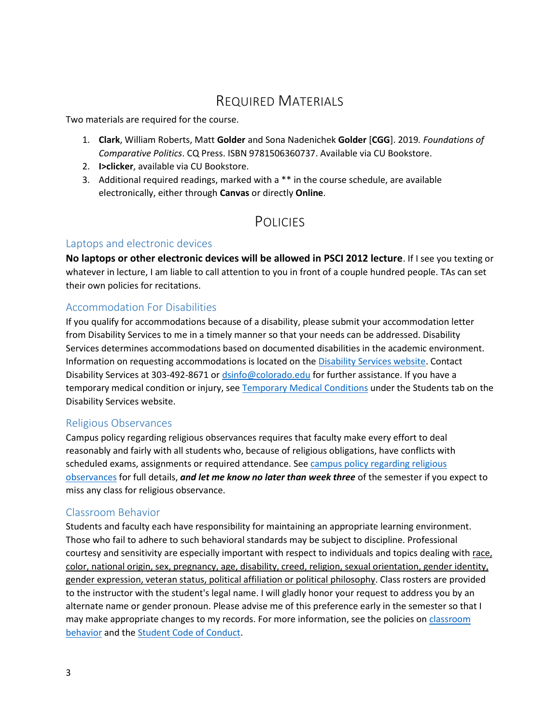## REQUIRED MATERIALS

Two materials are required for the course.

- 1. **Clark**, William Roberts, Matt **Golder** and Sona Nadenichek **Golder** [**CGG**]. 2019*. Foundations of Comparative Politics*. CQ Press. ISBN 9781506360737. Available via CU Bookstore.
- 2. **I>clicker**, available via CU Bookstore.
- 3. Additional required readings, marked with a \*\* in the course schedule, are available electronically, either through **Canvas** or directly **Online**.

### **POLICIES**

#### Laptops and electronic devices

**No laptops or other electronic devices will be allowed in PSCI 2012 lecture**. If I see you texting or whatever in lecture, I am liable to call attention to you in front of a couple hundred people. TAs can set their own policies for recitations.

#### Accommodation For Disabilities

If you qualify for accommodations because of a disability, please submit your accommodation letter from Disability Services to me in a timely manner so that your needs can be addressed. Disability Services determines accommodations based on documented disabilities in the academic environment. Information on requesting accommodations is located on the [Disability Services website.](http://www.colorado.edu/disabilityservices/students) Contact Disability Services at 303-492-8671 o[r dsinfo@colorado.edu](mailto:dsinfo@colorado.edu) for further assistance. If you have a temporary medical condition or injury, see [Temporary Medical Conditions](http://www.colorado.edu/disabilityservices/students/temporary-medical-conditions) under the Students tab on the Disability Services website.

#### Religious Observances

Campus policy regarding religious observances requires that faculty make every effort to deal reasonably and fairly with all students who, because of religious obligations, have conflicts with scheduled exams, assignments or required attendance. Se[e campus policy regarding religious](http://www.alumniconnections.com/links/link.cgi?l=6681989&h=137433&e=UCBI-20150813152414http://www.alumniconnections.com/links/link.cgi?l=6681989&h=137433&e=UCBI-20150813152414)  [observances](http://www.alumniconnections.com/links/link.cgi?l=6681989&h=137433&e=UCBI-20150813152414http://www.alumniconnections.com/links/link.cgi?l=6681989&h=137433&e=UCBI-20150813152414) for full details, *and let me know no later than week three* of the semester if you expect to miss any class for religious observance.

#### Classroom Behavior

Students and faculty each have responsibility for maintaining an appropriate learning environment. Those who fail to adhere to such behavioral standards may be subject to discipline. Professional courtesy and sensitivity are especially important with respect to individuals and topics dealing with race, color, national origin, sex, pregnancy, age, disability, creed, religion, sexual orientation, gender identity, gender expression, veteran status, political affiliation or political philosophy. Class rosters are provided to the instructor with the student's legal name. I will gladly honor your request to address you by an alternate name or gender pronoun. Please advise me of this preference early in the semester so that I may make appropriate changes to my records. For more information, see the policies on [classroom](http://www.colorado.edu/policies/student-classroom-and-course-related-behavior)  [behavior](http://www.colorado.edu/policies/student-classroom-and-course-related-behavior) and th[e Student Code of Conduct.](http://www.colorado.edu/osccr/)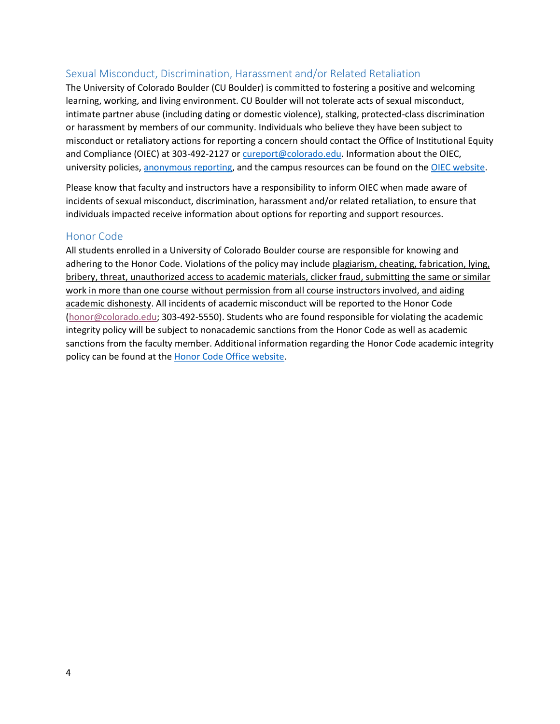#### Sexual Misconduct, Discrimination, Harassment and/or Related Retaliation

The University of Colorado Boulder (CU Boulder) is committed to fostering a positive and welcoming learning, working, and living environment. CU Boulder will not tolerate acts of sexual misconduct, intimate partner abuse (including dating or domestic violence), stalking, protected-class discrimination or harassment by members of our community. Individuals who believe they have been subject to misconduct or retaliatory actions for reporting a concern should contact the Office of Institutional Equity and Compliance (OIEC) at 303-492-2127 or [cureport@colorado.edu.](mailto:cureport@colorado.edu) Information about the OIEC, university policies, [anonymous reporting,](https://cuboulder.qualtrics.com/jfe/form/SV_0PnqVK4kkIJIZnf) and the campus resources can be found on the [OIEC website.](http://www.colorado.edu/institutionalequity/)

Please know that faculty and instructors have a responsibility to inform OIEC when made aware of incidents of sexual misconduct, discrimination, harassment and/or related retaliation, to ensure that individuals impacted receive information about options for reporting and support resources.

#### Honor Code

All students enrolled in a University of Colorado Boulder course are responsible for knowing and adhering to the Honor Code. Violations of the policy may include plagiarism, cheating, fabrication, lying, bribery, threat, unauthorized access to academic materials, clicker fraud, submitting the same or similar work in more than one course without permission from all course instructors involved, and aiding academic dishonesty. All incidents of academic misconduct will be reported to the Honor Code [\(honor@colorado.edu;](mailto:honor@colorado.edu) 303-492-5550). Students who are found responsible for violating the academic integrity policy will be subject to nonacademic sanctions from the Honor Code as well as academic sanctions from the faculty member. Additional information regarding the Honor Code academic integrity policy can be found at the [Honor Code Office website.](https://www.colorado.edu/osccr/honor-code)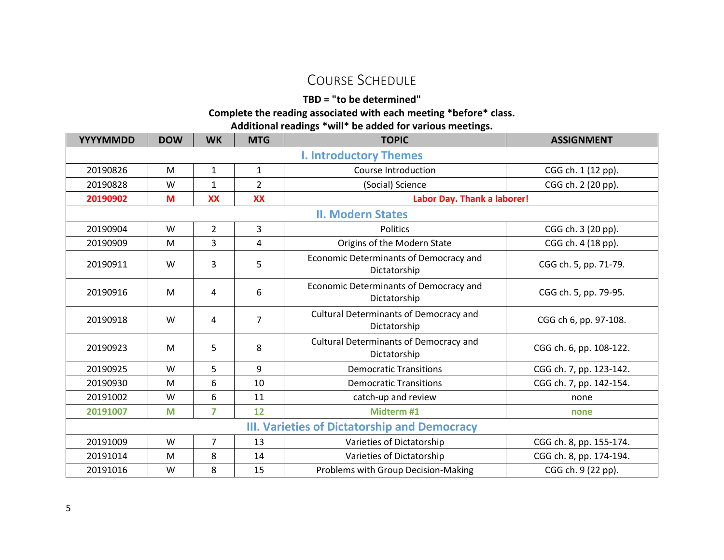## COURSE SCHEDULE

**TBD = "to be determined"**

**Complete the reading associated with each meeting \*before\* class.**

**Additional readings \*will\* be added for various meetings.**

| <b>YYYYMMDD</b>                              | <b>DOW</b> | <b>WK</b>      | <b>MTG</b>     | <b>TOPIC</b>                                           | <b>ASSIGNMENT</b>       |  |
|----------------------------------------------|------------|----------------|----------------|--------------------------------------------------------|-------------------------|--|
| <b>I. Introductory Themes</b>                |            |                |                |                                                        |                         |  |
| 20190826                                     | M          | $\mathbf{1}$   | $\mathbf{1}$   | Course Introduction                                    | CGG ch. 1 (12 pp).      |  |
| 20190828                                     | W          | $\mathbf{1}$   | $\overline{2}$ | (Social) Science                                       | CGG ch. 2 (20 pp).      |  |
| 20190902                                     | M          | <b>XX</b>      | <b>XX</b>      | Labor Day. Thank a laborer!                            |                         |  |
|                                              |            |                |                | <b>II. Modern States</b>                               |                         |  |
| 20190904                                     | W          | $\overline{2}$ | 3              | <b>Politics</b>                                        | CGG ch. 3 (20 pp).      |  |
| 20190909                                     | M          | 3              | 4              | Origins of the Modern State                            | CGG ch. 4 (18 pp).      |  |
| 20190911                                     | W          | 3              | 5              | Economic Determinants of Democracy and<br>Dictatorship | CGG ch. 5, pp. 71-79.   |  |
| 20190916                                     | M          | 4              | 6              | Economic Determinants of Democracy and<br>Dictatorship | CGG ch. 5, pp. 79-95.   |  |
| 20190918                                     | W          | 4              | $\overline{7}$ | Cultural Determinants of Democracy and<br>Dictatorship | CGG ch 6, pp. 97-108.   |  |
| 20190923                                     | M          | 5              | 8              | Cultural Determinants of Democracy and<br>Dictatorship | CGG ch. 6, pp. 108-122. |  |
| 20190925                                     | W          | 5              | 9              | <b>Democratic Transitions</b>                          | CGG ch. 7, pp. 123-142. |  |
| 20190930                                     | M          | 6              | 10             | <b>Democratic Transitions</b>                          | CGG ch. 7, pp. 142-154. |  |
| 20191002                                     | W          | 6              | 11             | catch-up and review                                    | none                    |  |
| 20191007                                     | M          | $\overline{7}$ | 12             | Midterm #1                                             | none                    |  |
| III. Varieties of Dictatorship and Democracy |            |                |                |                                                        |                         |  |
| 20191009                                     | W          | $\overline{7}$ | 13             | Varieties of Dictatorship                              | CGG ch. 8, pp. 155-174. |  |
| 20191014                                     | M          | 8              | 14             | Varieties of Dictatorship                              | CGG ch. 8, pp. 174-194. |  |
| 20191016                                     | W          | 8              | 15             | Problems with Group Decision-Making                    | CGG ch. 9 (22 pp).      |  |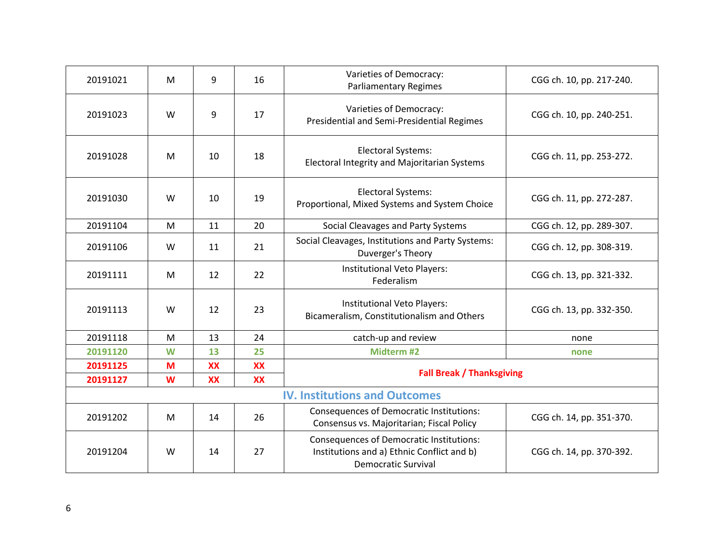| 20191021                             | M | 9         | 16        | Varieties of Democracy:<br><b>Parliamentary Regimes</b>                                                                     | CGG ch. 10, pp. 217-240. |  |
|--------------------------------------|---|-----------|-----------|-----------------------------------------------------------------------------------------------------------------------------|--------------------------|--|
| 20191023                             | W | 9         | 17        | Varieties of Democracy:<br>Presidential and Semi-Presidential Regimes                                                       | CGG ch. 10, pp. 240-251. |  |
| 20191028                             | M | 10        | 18        | <b>Electoral Systems:</b><br><b>Electoral Integrity and Majoritarian Systems</b>                                            | CGG ch. 11, pp. 253-272. |  |
| 20191030                             | W | 10        | 19        | <b>Electoral Systems:</b><br>Proportional, Mixed Systems and System Choice                                                  | CGG ch. 11, pp. 272-287. |  |
| 20191104                             | M | 11        | 20        | Social Cleavages and Party Systems                                                                                          | CGG ch. 12, pp. 289-307. |  |
| 20191106                             | W | 11        | 21        | Social Cleavages, Institutions and Party Systems:<br>Duverger's Theory                                                      | CGG ch. 12, pp. 308-319. |  |
| 20191111                             | M | 12        | 22        | Institutional Veto Players:<br>Federalism                                                                                   | CGG ch. 13, pp. 321-332. |  |
| 20191113                             | W | 12        | 23        | Institutional Veto Players:<br>Bicameralism, Constitutionalism and Others                                                   | CGG ch. 13, pp. 332-350. |  |
| 20191118                             | M | 13        | 24        | catch-up and review                                                                                                         | none                     |  |
| 20191120                             | W | 13        | 25        | Midterm #2                                                                                                                  | none                     |  |
| 20191125                             | M | <b>XX</b> | <b>XX</b> | <b>Fall Break / Thanksgiving</b>                                                                                            |                          |  |
| 20191127                             | W | <b>XX</b> | <b>XX</b> |                                                                                                                             |                          |  |
| <b>IV. Institutions and Outcomes</b> |   |           |           |                                                                                                                             |                          |  |
| 20191202                             | M | 14        | 26        | <b>Consequences of Democratic Institutions:</b><br>Consensus vs. Majoritarian; Fiscal Policy                                | CGG ch. 14, pp. 351-370. |  |
| 20191204                             | W | 14        | 27        | <b>Consequences of Democratic Institutions:</b><br>Institutions and a) Ethnic Conflict and b)<br><b>Democratic Survival</b> | CGG ch. 14, pp. 370-392. |  |